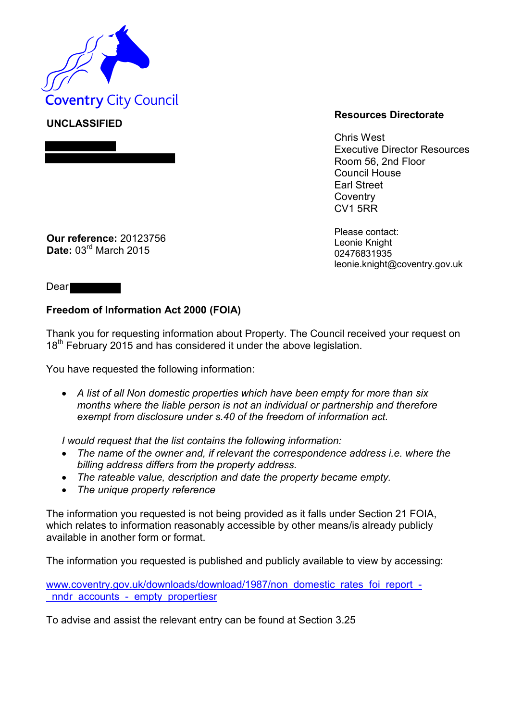

**UNCLASSIFIED**

## **Resources Directorate**

Chris West Executive Director Resources Room 56, 2nd Floor Council House Earl Street **Coventry** CV1 5RR

Please contact: Leonie Knight 02476831935 leonie.knight@coventry.gov.uk

**Our reference:** 20123756 **Date:** 03rd March 2015

Dear

## **Freedom of Information Act 2000 (FOIA)**

Thank you for requesting information about Property. The Council received your request on 18<sup>th</sup> February 2015 and has considered it under the above legislation.

You have requested the following information:

 *A list of all Non domestic properties which have been empty for more than six months where the liable person is not an individual or partnership and therefore exempt from disclosure under s.40 of the freedom of information act.* 

*I would request that the list contains the following information:* 

- *The name of the owner and, if relevant the correspondence address i.e. where the billing address differs from the property address.*
- *The rateable value, description and date the property became empty.*
- *The unique property reference*

The information you requested is not being provided as it falls under Section 21 FOIA, which relates to information reasonably accessible by other means/is already publicly available in another form or format.

The information you requested is published and publicly available to view by accessing:

[www.coventry.gov.uk/downloads/download/1987/non domestic rates foi report](http://www.coventry.gov.uk/downloads/download/1987/non_domestic_rates_foi_report_-_nndr_accounts_-_empty_propertiesr)  [nndr accounts - empty propertiesr](http://www.coventry.gov.uk/downloads/download/1987/non_domestic_rates_foi_report_-_nndr_accounts_-_empty_propertiesr)

To advise and assist the relevant entry can be found at Section 3.25